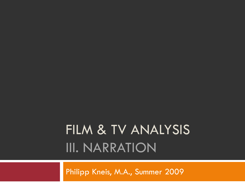# FILM & TV ANALYSIS III. NARRATION

Philipp Kneis, M.A., Summer 2009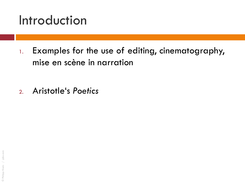### Introduction

1. Examples for the use of editing, cinematography, mise en scène in narration

2. Aristotle"s *Poetics*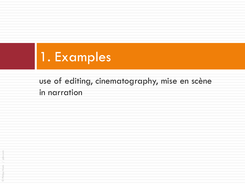

### use of editing, cinematography, mise en scène in narration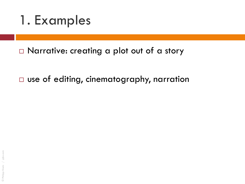1. Examples

□ Narrative: creating a plot out of a story

□ use of editing, cinematography, narration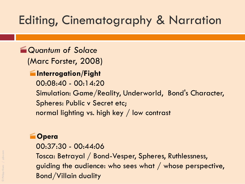### Editing, Cinematography & Narration

### *Quantum of Solace*

(Marc Forster, 2008)

#### **Interrogation/Fight**

00:08:40 - 00:14:20

Simulation: Game/Reality, Underworld, Bond's Character, Spheres: Public v Secret etc;

normal lighting vs. high key / low contrast

#### **Opera**

00:37:30 - 00:44:06 Tosca: Betrayal / Bond-Vesper, Spheres, Ruthlessness, guiding the audience: who sees what / whose perspective, Bond/Villain duality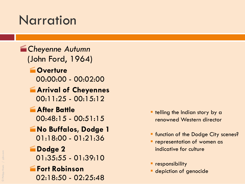## **Narration**

### **End Cheyenne Autumn** (John Ford, 1964)

- **Coverture** 00:00:00 - 00:02:00
- **Arrival of Cheyennes**  $00:11:25 - 00:15:12$
- **After Battle**  $00:48:15 - 00:51:15$
- **No Buffalos, Dodge 1** 01:18:00 - 01:21:36
- **Dodge 2**
	- 01:35:55 01:39:10
- **Fort Robinson** 02:18:50 - 02:25:48
- **the Indian story by a** renowned Western director
- **F** function of the Dodge City scenes?
- **Performation of women as** indicative for culture
- **Pesponsibility**
- **depiction of genocide**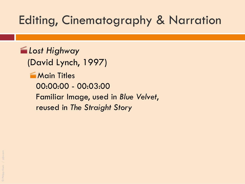### Editing, Cinematography & Narration

*Lost Highway* (David Lynch, 1997) **Main Titles** 00:00:00 - 00:03:00 Familiar Image, used in *Blue Velvet*, reused in *The Straight Story*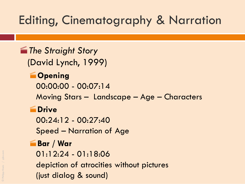### Editing, Cinematography & Narration

## **Formal The Straight Story**

(David Lynch, 1999)

### **Coming**

00:00:00 - 00:07:14

Moving Stars – Landscape – Age – Characters

#### **EDrive**

00:24:12 - 00:27:40

Speed – Narration of Age

### **Bar / War**

01:12:24 - 01:18:06

depiction of atrocities without pictures

(just dialog & sound)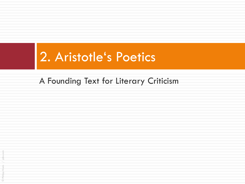### A Founding Text for Literary Criticism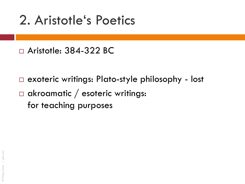### □ Aristotle: 384-322 BC

- □ exoteric writings: Plato-style philosophy lost
- $\Box$  akroamatic / esoteric writings: for teaching purposes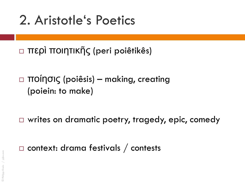περὶ ποιητικῆς (peri poiêtikês)

 ποίησις (poiêsis) – making, creating (poiein: to make)

□ writes on dramatic poetry, tragedy, epic, comedy

 $\Box$  context: drama festivals / contests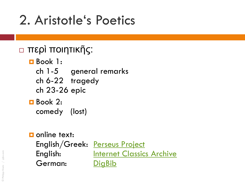### περὶ ποιητικῆς:

- Book 1:
	- ch 1-5 general remarks
	- ch 6-22 tragedy
	- ch 23-26 epic
- Book 2: comedy (lost)
- **D** online text: English/Greek: [Perseus Project](http://www.perseus.tufts.edu/hopper/text.jsp?doc=Perseus:text:1999.01.0056:section=1447a&highlight=poetics,aristotle) English: **[Internet Classics Archive](http://classics.mit.edu/Aristotle/poetics.html)** German: [DigBib](http://www.digbib.org/Aristoteles_384vChr/De_Poetik?showall=1)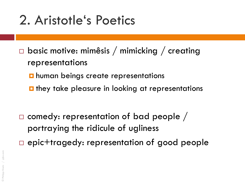- $\Box$  basic motive: mimêsis / mimicking / creating representations
	- $\blacksquare$  human beings create representations
	- $\blacksquare$  they take pleasure in looking at representations

 $\square$  comedy: representation of bad people / portraying the ridicule of ugliness epic+tragedy: representation of good people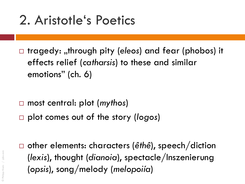□ tragedy: "through pity (*eleos*) and fear (phobos) it effects relief (*catharsis*) to these and similar emotions" (ch. 6)

- most central: plot (*mythos*)
- plot comes out of the story (*logos*)

 other elements: characters (*êthê*), speech/diction (*lexis*), thought (*dianoia*), spectacle/Inszenierung (*opsis*), song/melody (*melopoiía*)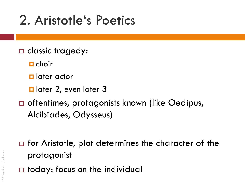- □ classic tragedy:
	- $\blacksquare$  choir
	- **L** later actor
	- **d** later 2, even later 3
- □ oftentimes, protagonists known (like Oedipus, Alcibiades, Odysseus)
- $\Box$  for Aristotle, plot determines the character of the protagonist
- $\Box$  today: focus on the individual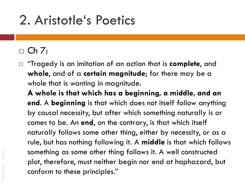### $\Box$  Ch 7:

 "Tragedy is an imitation of an action that is **complete**, and **whole**, and of a **certain magnitude**; for there may be a whole that is wanting in magnitude.

**A whole is that which has a beginning, a middle, and an end**. A **beginning** is that which does not itself follow anything by causal necessity, but after which something naturally is or comes to be. An **end**, on the contrary, is that which itself naturally follows some other thing, either by necessity, or as a rule, but has nothing following it. A **middle** is that which follows something as some other thing follows it. A well constructed plot, therefore, must neither begin nor end at haphazard, but conform to these principles."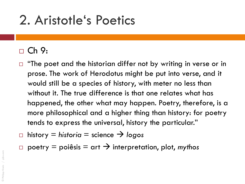### $\Box$  Ch 9:

- "The poet and the historian differ not by writing in verse or in prose. The work of Herodotus might be put into verse, and it would still be a species of history, with meter no less than without it. The true difference is that one relates what has happened, the other what may happen. Poetry, therefore, is a more philosophical and a higher thing than history: for poetry tends to express the universal, history the particular."
- $\Box$  history  $\equiv$  historia  $\equiv$  science  $\rightarrow$  logos
- poetry  $=$  poiêsis  $=$  art  $\rightarrow$  interpretation, plot, *mythos*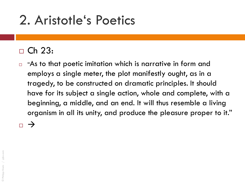### $\Box$  Ch 23:

 $\Box$  "As to that poetic imitation which is narrative in form and employs a single meter, the plot manifestly ought, as in a tragedy, to be constructed on dramatic principles. It should have for its subject a single action, whole and complete, with a beginning, a middle, and an end. It will thus resemble a living organism in all its unity, and produce the pleasure proper to it."

 $\overline{\phantom{0}}$   $\rightarrow$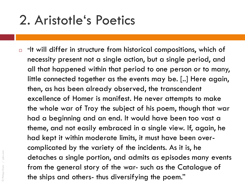$\Box$  "It will differ in structure from historical compositions, which of necessity present not a single action, but a single period, and all that happened within that period to one person or to many, little connected together as the events may be. [..] Here again, then, as has been already observed, the transcendent excellence of Homer is manifest. He never attempts to make the whole war of Troy the subject of his poem, though that war had a beginning and an end. It would have been too vast a theme, and not easily embraced in a single view. If, again, he had kept it within moderate limits, it must have been overcomplicated by the variety of the incidents. As it is, he detaches a single portion, and admits as episodes many events from the general story of the war- such as the Catalogue of the ships and others- thus diversifying the poem."